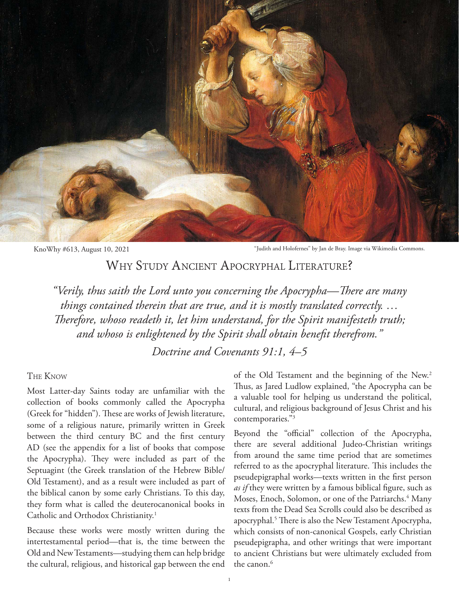

KnoWhy #613, August 10, 2021 "Judith and Holofernes" by Jan de Bray. Image via Wikimedia Commons.

## WHY STUDY ANCIENT APOCRYPHAL LITERATURE?

*"Verily, thus saith the Lord unto you concerning the Apocrypha—There are many things contained therein that are true, and it is mostly translated correctly. … Therefore, whoso readeth it, let him understand, for the Spirit manifesteth truth; and whoso is enlightened by the Spirit shall obtain benefit therefrom."*

*Doctrine and Covenants 91:1, 4–5*

## The Know

Most Latter-day Saints today are unfamiliar with the collection of books commonly called the Apocrypha (Greek for "hidden"). These are works of Jewish literature, some of a religious nature, primarily written in Greek between the third century BC and the first century AD (see the appendix for a list of books that compose the Apocrypha). They were included as part of the Septuagint (the Greek translation of the Hebrew Bible/ Old Testament), and as a result were included as part of the biblical canon by some early Christians. To this day, they form what is called the deuterocanonical books in Catholic and Orthodox Christianity.<sup>1</sup>

Because these works were mostly written during the intertestamental period—that is, the time between the Old and New Testaments—studying them can help bridge the cultural, religious, and historical gap between the end

of the Old Testament and the beginning of the New.<sup>2</sup> Thus, as Jared Ludlow explained, "the Apocrypha can be a valuable tool for helping us understand the political, cultural, and religious background of Jesus Christ and his contemporaries."3

Beyond the "official" collection of the Apocrypha, there are several additional Judeo-Christian writings from around the same time period that are sometimes referred to as the apocryphal literature. This includes the pseudepigraphal works—texts written in the first person *as if* they were written by a famous biblical figure, such as Moses, Enoch, Solomon, or one of the Patriarchs.<sup>4</sup> Many texts from the Dead Sea Scrolls could also be described as apocryphal.<sup>5</sup> There is also the New Testament Apocrypha, which consists of non-canonical Gospels, early Christian pseudepigrapha, and other writings that were important to ancient Christians but were ultimately excluded from the canon.<sup>6</sup>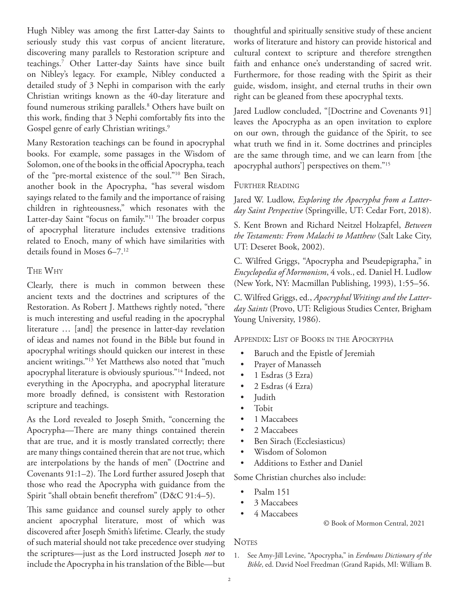Hugh Nibley was among the first Latter-day Saints to seriously study this vast corpus of ancient literature, discovering many parallels to Restoration scripture and teachings.7 Other Latter-day Saints have since built on Nibley's legacy. For example, Nibley conducted a detailed study of 3 Nephi in comparison with the early Christian writings known as the 40-day literature and found numerous striking parallels.8 Others have built on this work, finding that 3 Nephi comfortably fits into the Gospel genre of early Christian writings.<sup>9</sup>

Many Restoration teachings can be found in apocryphal books. For example, some passages in the Wisdom of Solomon, one of the books in the official Apocrypha, teach of the "pre-mortal existence of the soul."10 Ben Sirach, another book in the Apocrypha, "has several wisdom sayings related to the family and the importance of raising children in righteousness," which resonates with the Latter-day Saint "focus on family."11 The broader corpus of apocryphal literature includes extensive traditions related to Enoch, many of which have similarities with details found in Moses 6–7.12

## The Why

Clearly, there is much in common between these ancient texts and the doctrines and scriptures of the Restoration. As Robert J. Matthews rightly noted, "there is much interesting and useful reading in the apocryphal literature … [and] the presence in latter-day revelation of ideas and names not found in the Bible but found in apocryphal writings should quicken our interest in these ancient writings."13 Yet Matthews also noted that "much apocryphal literature is obviously spurious."14 Indeed, not everything in the Apocrypha, and apocryphal literature more broadly defined, is consistent with Restoration scripture and teachings.

As the Lord revealed to Joseph Smith, "concerning the Apocrypha—There are many things contained therein that are true, and it is mostly translated correctly; there are many things contained therein that are not true, which are interpolations by the hands of men" (Doctrine and Covenants 91:1–2). The Lord further assured Joseph that those who read the Apocrypha with guidance from the Spirit "shall obtain benefit therefrom" (D&C 91:4–5).

This same guidance and counsel surely apply to other ancient apocryphal literature, most of which was discovered after Joseph Smith's lifetime. Clearly, the study of such material should not take precedence over studying the scriptures—just as the Lord instructed Joseph *not* to include the Apocrypha in his translation of the Bible—but thoughtful and spiritually sensitive study of these ancient works of literature and history can provide historical and cultural context to scripture and therefore strengthen faith and enhance one's understanding of sacred writ. Furthermore, for those reading with the Spirit as their guide, wisdom, insight, and eternal truths in their own right can be gleaned from these apocryphal texts.

Jared Ludlow concluded, "[Doctrine and Covenants 91] leaves the Apocrypha as an open invitation to explore on our own, through the guidance of the Spirit, to see what truth we find in it. Some doctrines and principles are the same through time, and we can learn from [the apocryphal authors'] perspectives on them."15

## FURTHER READING

Jared W. Ludlow, *Exploring the Apocrypha from a Latterday Saint Perspective* (Springville, UT: Cedar Fort, 2018).

S. Kent Brown and Richard Neitzel Holzapfel, *Between the Testaments: From Malachi to Matthew* (Salt Lake City, UT: Deseret Book, 2002).

C. Wilfred Griggs, "Apocrypha and Pseudepigrapha," in *Encyclopedia of Mormonism*, 4 vols., ed. Daniel H. Ludlow (New York, NY: Macmillan Publishing, 1993), 1:55–56.

C. Wilfred Griggs, ed., *Apocryphal Writings and the Latterday Saints* (Provo, UT: Religious Studies Center, Brigham Young University, 1986).

Appendix: List of Books in the Apocrypha

- Baruch and the Epistle of Jeremiah
- Prayer of Manasseh
- 1 Esdras (3 Ezra)
- 2 Esdras (4 Ezra)
- Judith
- Tobit
- 1 Maccabees
- 2 Maccabees
- Ben Sirach (Ecclesiasticus)
- Wisdom of Solomon
- Additions to Esther and Daniel

Some Christian churches also include:

- Psalm 151
- 3 Maccabees
- 4 Maccabees

© Book of Mormon Central, 2021

**NOTES** 

<sup>1.</sup> See Amy-Jill Levine, "Apocrypha," in *Eerdmans Dictionary of the Bible*, ed. David Noel Freedman (Grand Rapids, MI: William B.